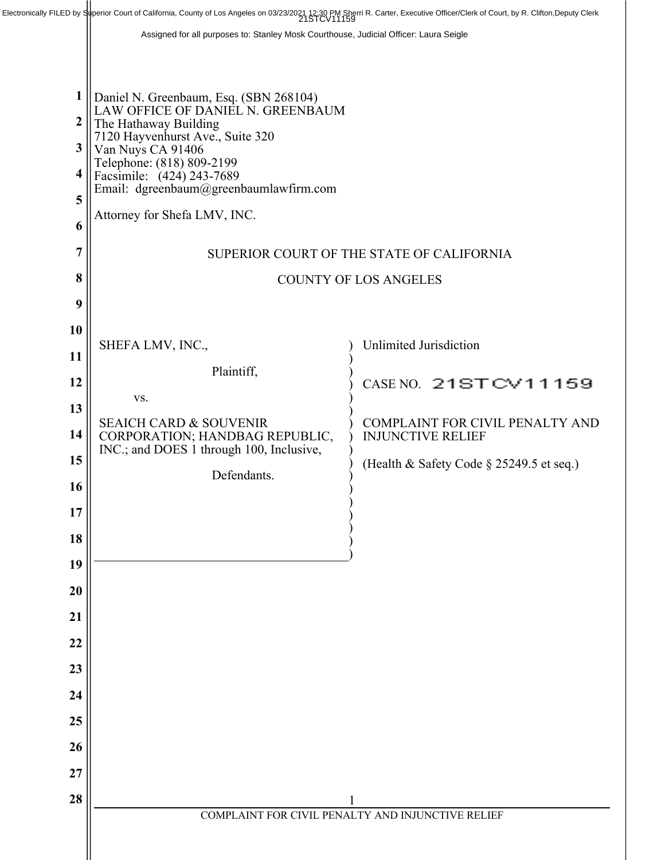|                  | Electronically FILED by Superior Court of California, County of Los Angeles on 03/23/2021 12:30 PM Sherri R. Carter, Executive Officer/Clerk of Court, by R. Clifton,Deputy Clerk<br>21STCV11159 |                                                   |
|------------------|--------------------------------------------------------------------------------------------------------------------------------------------------------------------------------------------------|---------------------------------------------------|
|                  | Assigned for all purposes to: Stanley Mosk Courthouse, Judicial Officer: Laura Seigle                                                                                                            |                                                   |
|                  |                                                                                                                                                                                                  |                                                   |
|                  |                                                                                                                                                                                                  |                                                   |
| 1                | Daniel N. Greenbaum, Esq. (SBN 268104)                                                                                                                                                           |                                                   |
| $\boldsymbol{2}$ | LAW OFFICE OF DANIEL N. GREENBAUM<br>The Hathaway Building                                                                                                                                       |                                                   |
|                  | 7120 Hayvenhurst Ave., Suite 320                                                                                                                                                                 |                                                   |
| 3                | Van Nuys CA 91406                                                                                                                                                                                |                                                   |
| 4                | Telephone: (818) 809-2199<br>Facsimile: (424) 243-7689<br>Email: dgreenbaum@greenbaumlawfirm.com                                                                                                 |                                                   |
| 5                |                                                                                                                                                                                                  |                                                   |
| 6                | Attorney for Shefa LMV, INC.                                                                                                                                                                     |                                                   |
| 7                |                                                                                                                                                                                                  |                                                   |
|                  | SUPERIOR COURT OF THE STATE OF CALIFORNIA                                                                                                                                                        |                                                   |
| 8                |                                                                                                                                                                                                  | <b>COUNTY OF LOS ANGELES</b>                      |
| 9                |                                                                                                                                                                                                  |                                                   |
| 10               |                                                                                                                                                                                                  |                                                   |
| 11               | SHEFA LMV, INC.,                                                                                                                                                                                 | <b>Unlimited Jurisdiction</b>                     |
| 12               | Plaintiff,                                                                                                                                                                                       | CASE NO. 21STCV11159                              |
|                  | VS.                                                                                                                                                                                              |                                                   |
| 13               | <b>SEAICH CARD &amp; SOUVENIR</b>                                                                                                                                                                | COMPLAINT FOR CIVIL PENALTY AND                   |
| 14               | CORPORATION; HANDBAG REPUBLIC,<br>INC.; and DOES 1 through 100, Inclusive,                                                                                                                       | <b>INJUNCTIVE RELIEF</b>                          |
| 15               |                                                                                                                                                                                                  | (Health & Safety Code § 25249.5 et seq.)          |
| 16               | Defendants.                                                                                                                                                                                      |                                                   |
| 17               |                                                                                                                                                                                                  |                                                   |
|                  |                                                                                                                                                                                                  |                                                   |
| 18               |                                                                                                                                                                                                  |                                                   |
| 19               |                                                                                                                                                                                                  |                                                   |
| 20               |                                                                                                                                                                                                  |                                                   |
| 21               |                                                                                                                                                                                                  |                                                   |
| 22               |                                                                                                                                                                                                  |                                                   |
| 23               |                                                                                                                                                                                                  |                                                   |
|                  |                                                                                                                                                                                                  |                                                   |
| 24               |                                                                                                                                                                                                  |                                                   |
| 25               |                                                                                                                                                                                                  |                                                   |
| 26               |                                                                                                                                                                                                  |                                                   |
| 27               |                                                                                                                                                                                                  |                                                   |
| 28               |                                                                                                                                                                                                  |                                                   |
|                  |                                                                                                                                                                                                  | COMPLAINT FOR CIVIL PENALTY AND INJUNCTIVE RELIEF |
|                  |                                                                                                                                                                                                  |                                                   |
|                  |                                                                                                                                                                                                  |                                                   |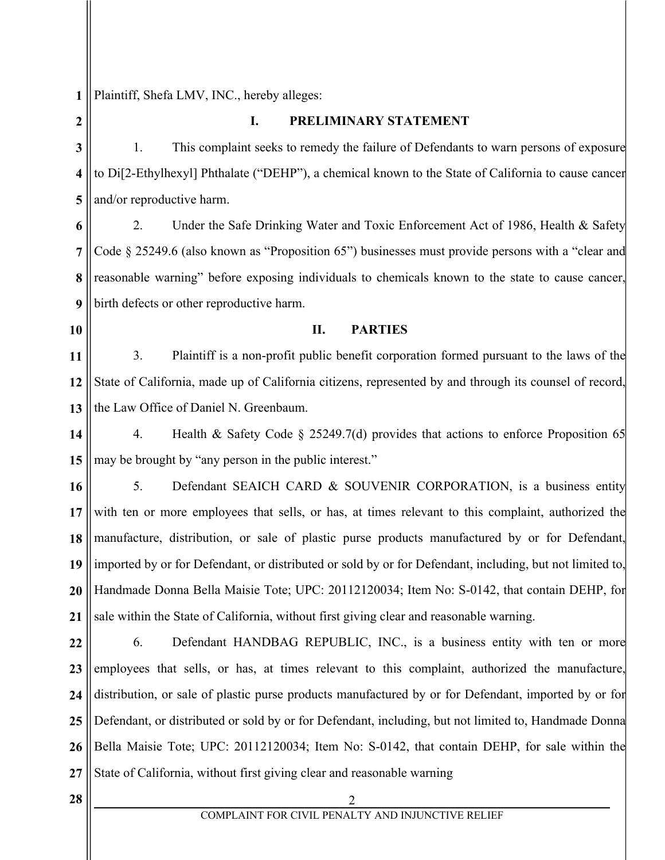**1**

Plaintiff, Shefa LMV, INC., hereby alleges:

**2 3 4 5 6 7 8 9 10 11 12 13 14 15 16 17 18 19 20 21 22 23 24 25 26 27 28**  $\parallel$  2 COMPLAINT FOR CIVIL PENALTY AND INJUNCTIVE RELIEF **I. PRELIMINARY STATEMENT** 1. This complaint seeks to remedy the failure of Defendants to warn persons of exposure to Di[2-Ethylhexyl] Phthalate ("DEHP"), a chemical known to the State of California to cause cancer and/or reproductive harm. 2. Under the Safe Drinking Water and Toxic Enforcement Act of 1986, Health & Safety Code § 25249.6 (also known as "Proposition 65") businesses must provide persons with a "clear and reasonable warning" before exposing individuals to chemicals known to the state to cause cancer, birth defects or other reproductive harm. **II. PARTIES** 3. Plaintiff is a non-profit public benefit corporation formed pursuant to the laws of the State of California, made up of California citizens, represented by and through its counsel of record, the Law Office of Daniel N. Greenbaum. 4. Health & Safety Code § 25249.7(d) provides that actions to enforce Proposition 65 may be brought by "any person in the public interest." 5. Defendant SEAICH CARD & SOUVENIR CORPORATION, is a business entity with ten or more employees that sells, or has, at times relevant to this complaint, authorized the manufacture, distribution, or sale of plastic purse products manufactured by or for Defendant, imported by or for Defendant, or distributed or sold by or for Defendant, including, but not limited to, Handmade Donna Bella Maisie Tote; UPC: 20112120034; Item No: S-0142, that contain DEHP, for sale within the State of California, without first giving clear and reasonable warning. 6. Defendant HANDBAG REPUBLIC, INC., is a business entity with ten or more employees that sells, or has, at times relevant to this complaint, authorized the manufacture, distribution, or sale of plastic purse products manufactured by or for Defendant, imported by or for Defendant, or distributed or sold by or for Defendant, including, but not limited to, Handmade Donna Bella Maisie Tote; UPC: 20112120034; Item No: S-0142, that contain DEHP, for sale within the State of California, without first giving clear and reasonable warning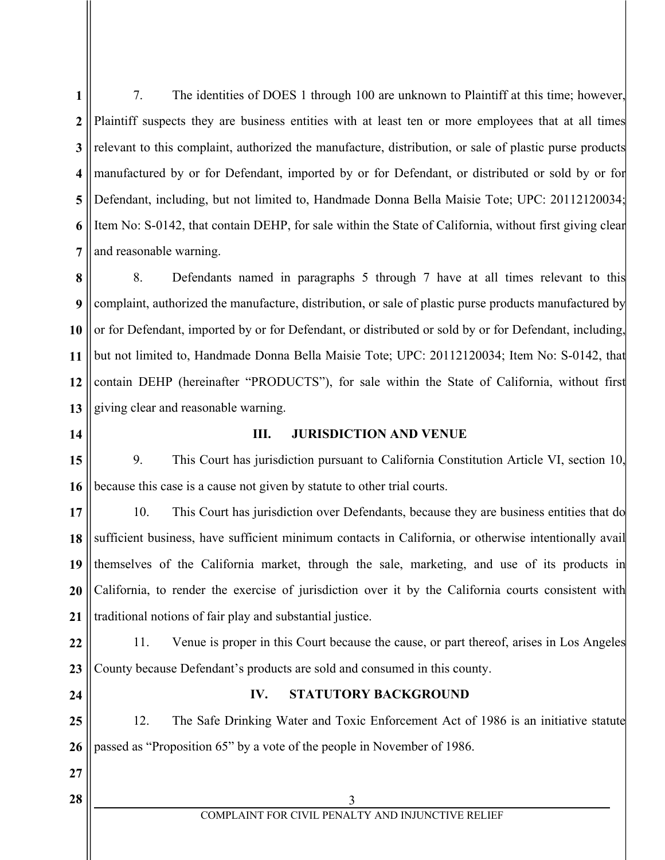**1 2 3 4 5 6 7** 7. The identities of DOES 1 through 100 are unknown to Plaintiff at this time; however, Plaintiff suspects they are business entities with at least ten or more employees that at all times relevant to this complaint, authorized the manufacture, distribution, or sale of plastic purse products manufactured by or for Defendant, imported by or for Defendant, or distributed or sold by or for Defendant, including, but not limited to, Handmade Donna Bella Maisie Tote; UPC: 20112120034; Item No: S-0142, that contain DEHP, for sale within the State of California, without first giving clear and reasonable warning.

**8 9 10 11 12 13** 8. Defendants named in paragraphs 5 through 7 have at all times relevant to this complaint, authorized the manufacture, distribution, or sale of plastic purse products manufactured by or for Defendant, imported by or for Defendant, or distributed or sold by or for Defendant, including, but not limited to, Handmade Donna Bella Maisie Tote; UPC: 20112120034; Item No: S-0142, that contain DEHP (hereinafter "PRODUCTS"), for sale within the State of California, without first giving clear and reasonable warning.

**14**

## **III. JURISDICTION AND VENUE**

**15 16** 9. This Court has jurisdiction pursuant to California Constitution Article VI, section 10, because this case is a cause not given by statute to other trial courts.

**17 18 19 20 21** 10. This Court has jurisdiction over Defendants, because they are business entities that do sufficient business, have sufficient minimum contacts in California, or otherwise intentionally avail themselves of the California market, through the sale, marketing, and use of its products in California, to render the exercise of jurisdiction over it by the California courts consistent with traditional notions of fair play and substantial justice.

**22 23** 11. Venue is proper in this Court because the cause, or part thereof, arises in Los Angeles County because Defendant's products are sold and consumed in this county.

**24**

## **IV. STATUTORY BACKGROUND**

**25 26** 12. The Safe Drinking Water and Toxic Enforcement Act of 1986 is an initiative statute passed as "Proposition 65" by a vote of the people in November of 1986.

**27**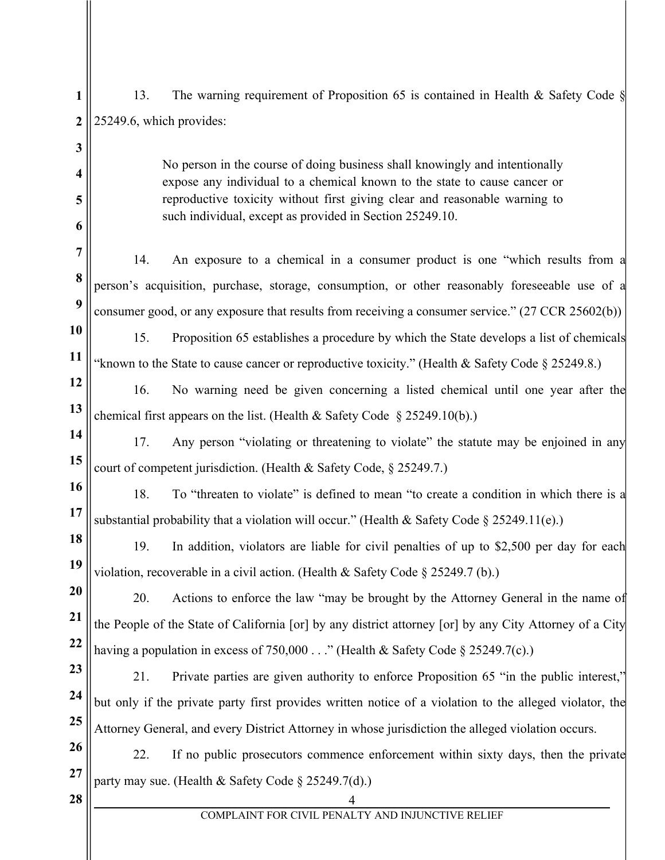**1 2 3 4 5 6 7 8 9 10 11 12 13 14 15 16 17 18 19 20 21 22 23 24 25 26 27 28** 4 13. The warning requirement of Proposition 65 is contained in Health & Safety Code § 25249.6, which provides: No person in the course of doing business shall knowingly and intentionally expose any individual to a chemical known to the state to cause cancer or reproductive toxicity without first giving clear and reasonable warning to such individual, except as provided in Section 25249.10. 14. An exposure to a chemical in a consumer product is one "which results from a person's acquisition, purchase, storage, consumption, or other reasonably foreseeable use of a consumer good, or any exposure that results from receiving a consumer service." (27 CCR 25602(b)) 15. Proposition 65 establishes a procedure by which the State develops a list of chemicals "known to the State to cause cancer or reproductive toxicity." (Health & Safety Code § 25249.8.) 16. No warning need be given concerning a listed chemical until one year after the chemical first appears on the list. (Health & Safety Code  $\S 25249.10(b)$ .) 17. Any person "violating or threatening to violate" the statute may be enjoined in any court of competent jurisdiction. (Health & Safety Code, § 25249.7.) 18. To "threaten to violate" is defined to mean "to create a condition in which there is a substantial probability that a violation will occur." (Health & Safety Code  $\S 25249.11(e)$ .) 19. In addition, violators are liable for civil penalties of up to \$2,500 per day for each violation, recoverable in a civil action. (Health & Safety Code § 25249.7 (b).) 20. Actions to enforce the law "may be brought by the Attorney General in the name of the People of the State of California [or] by any district attorney [or] by any City Attorney of a City having a population in excess of  $750,000...$  (Health & Safety Code § 25249.7(c).) 21. Private parties are given authority to enforce Proposition 65 "in the public interest," but only if the private party first provides written notice of a violation to the alleged violator, the Attorney General, and every District Attorney in whose jurisdiction the alleged violation occurs. 22. If no public prosecutors commence enforcement within sixty days, then the private party may sue. (Health & Safety Code § 25249.7(d).)

## COMPLAINT FOR CIVIL PENALTY AND INJUNCTIVE RELIEF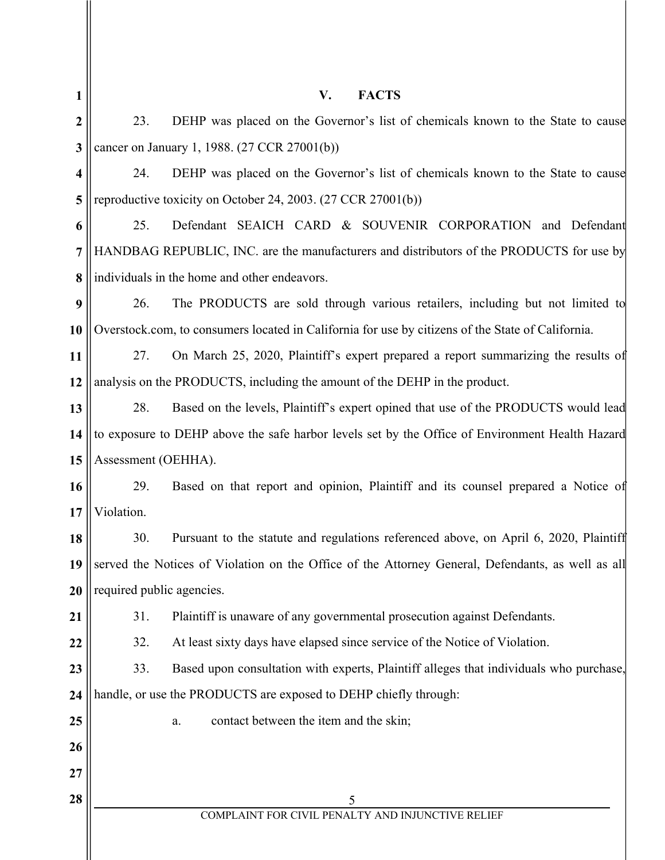| 1                | <b>FACTS</b><br>V.                                                                                |  |
|------------------|---------------------------------------------------------------------------------------------------|--|
| $\boldsymbol{2}$ | 23.<br>DEHP was placed on the Governor's list of chemicals known to the State to cause            |  |
| 3                | cancer on January 1, 1988. (27 CCR 27001(b))                                                      |  |
| 4                | 24.<br>DEHP was placed on the Governor's list of chemicals known to the State to cause            |  |
| 5                | reproductive toxicity on October 24, 2003. (27 CCR 27001(b))                                      |  |
| 6                | 25.<br>Defendant SEAICH CARD & SOUVENIR CORPORATION and Defendant                                 |  |
| 7                | HANDBAG REPUBLIC, INC. are the manufacturers and distributors of the PRODUCTS for use by          |  |
| 8                | individuals in the home and other endeavors.                                                      |  |
| 9                | 26.<br>The PRODUCTS are sold through various retailers, including but not limited to              |  |
| <b>10</b>        | Overstock.com, to consumers located in California for use by citizens of the State of California. |  |
| 11               | On March 25, 2020, Plaintiff's expert prepared a report summarizing the results of<br>27.         |  |
| 12               | analysis on the PRODUCTS, including the amount of the DEHP in the product.                        |  |
| 13               | 28.<br>Based on the levels, Plaintiff's expert opined that use of the PRODUCTS would lead         |  |
| 14               | to exposure to DEHP above the safe harbor levels set by the Office of Environment Health Hazard   |  |
| 15               | Assessment (OEHHA).                                                                               |  |
| 16               | Based on that report and opinion, Plaintiff and its counsel prepared a Notice of<br>29.           |  |
| 17               | Violation.                                                                                        |  |
| 18               | Pursuant to the statute and regulations referenced above, on April 6, 2020, Plaintiff<br>30.      |  |
| 19               | served the Notices of Violation on the Office of the Attorney General, Defendants, as well as all |  |
| 20               | required public agencies.                                                                         |  |
| 21               | Plaintiff is unaware of any governmental prosecution against Defendants.<br>31.                   |  |
| 22               | At least sixty days have elapsed since service of the Notice of Violation.<br>32.                 |  |
| 23               | Based upon consultation with experts, Plaintiff alleges that individuals who purchase,<br>33.     |  |
| 24               | handle, or use the PRODUCTS are exposed to DEHP chiefly through:                                  |  |
| 25               | contact between the item and the skin;<br>a.                                                      |  |
| 26               |                                                                                                   |  |
| 27               |                                                                                                   |  |
| 28               | 5                                                                                                 |  |
|                  | COMPLAINT FOR CIVIL PENALTY AND INJUNCTIVE RELIEF                                                 |  |
|                  |                                                                                                   |  |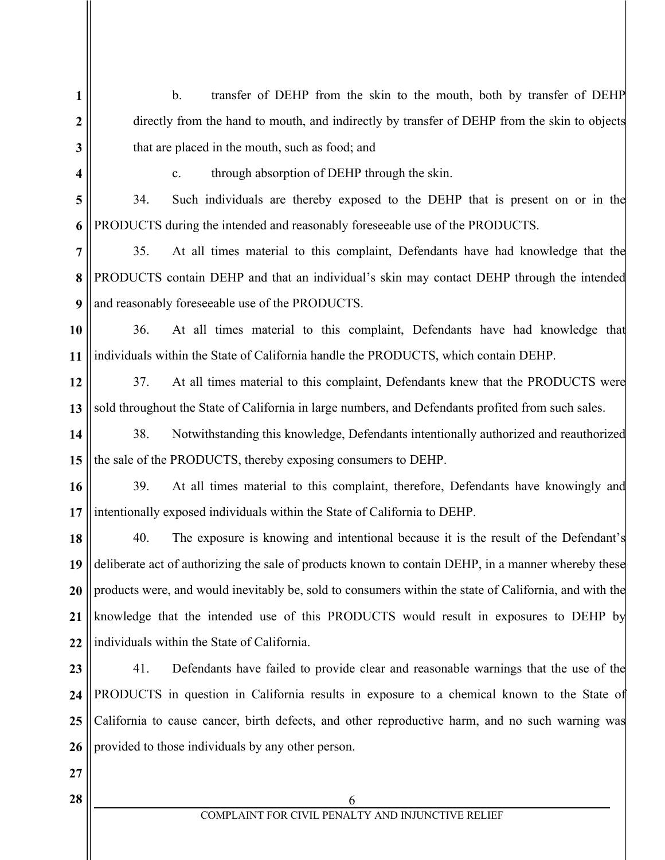**1 2 3 4 5 6 7 8 9 10 11 12 13 14 15 16 17 18 19 20 21 22 23 24 25 26 27 28**  $\parallel$  6 COMPLAINT FOR CIVIL PENALTY AND INJUNCTIVE RELIEF b. transfer of DEHP from the skin to the mouth, both by transfer of DEHP directly from the hand to mouth, and indirectly by transfer of DEHP from the skin to objects that are placed in the mouth, such as food; and c. through absorption of DEHP through the skin. 34. Such individuals are thereby exposed to the DEHP that is present on or in the PRODUCTS during the intended and reasonably foreseeable use of the PRODUCTS. 35. At all times material to this complaint, Defendants have had knowledge that the PRODUCTS contain DEHP and that an individual's skin may contact DEHP through the intended and reasonably foreseeable use of the PRODUCTS. 36. At all times material to this complaint, Defendants have had knowledge that individuals within the State of California handle the PRODUCTS, which contain DEHP. 37. At all times material to this complaint, Defendants knew that the PRODUCTS were sold throughout the State of California in large numbers, and Defendants profited from such sales. 38. Notwithstanding this knowledge, Defendants intentionally authorized and reauthorized the sale of the PRODUCTS, thereby exposing consumers to DEHP. 39. At all times material to this complaint, therefore, Defendants have knowingly and intentionally exposed individuals within the State of California to DEHP. 40. The exposure is knowing and intentional because it is the result of the Defendant's deliberate act of authorizing the sale of products known to contain DEHP, in a manner whereby these products were, and would inevitably be, sold to consumers within the state of California, and with the knowledge that the intended use of this PRODUCTS would result in exposures to DEHP by individuals within the State of California. 41. Defendants have failed to provide clear and reasonable warnings that the use of the PRODUCTS in question in California results in exposure to a chemical known to the State of California to cause cancer, birth defects, and other reproductive harm, and no such warning was provided to those individuals by any other person.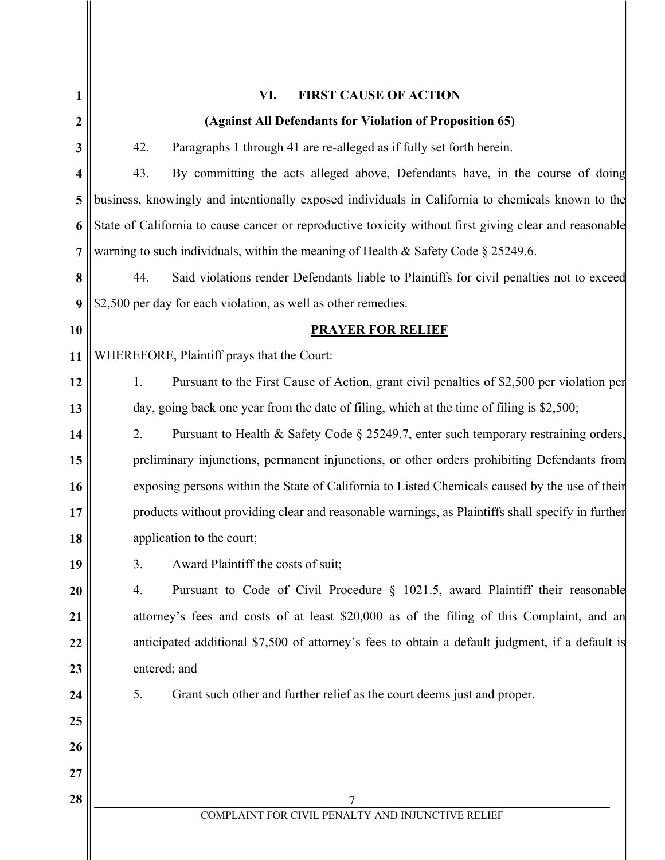| 1                | VI.<br><b>FIRST CAUSE OF ACTION</b>                                                                    |  |
|------------------|--------------------------------------------------------------------------------------------------------|--|
| $\boldsymbol{2}$ | (Against All Defendants for Violation of Proposition 65)                                               |  |
| 3                | 42.<br>Paragraphs 1 through 41 are re-alleged as if fully set forth herein.                            |  |
| 4                | 43.<br>By committing the acts alleged above, Defendants have, in the course of doing                   |  |
| 5                | business, knowingly and intentionally exposed individuals in California to chemicals known to the      |  |
| 6                | State of California to cause cancer or reproductive toxicity without first giving clear and reasonable |  |
| 7                | warning to such individuals, within the meaning of Health & Safety Code $\S 25249.6$ .                 |  |
| 8                | Said violations render Defendants liable to Plaintiffs for civil penalties not to exceed<br>44.        |  |
| 9                | \$2,500 per day for each violation, as well as other remedies.                                         |  |
| <b>10</b>        | <b>PRAYER FOR RELIEF</b>                                                                               |  |
| 11               | WHEREFORE, Plaintiff prays that the Court:                                                             |  |
| 12               | 1.<br>Pursuant to the First Cause of Action, grant civil penalties of \$2,500 per violation per        |  |
| 13               | day, going back one year from the date of filing, which at the time of filing is \$2,500;              |  |
| 14               | 2.<br>Pursuant to Health & Safety Code § 25249.7, enter such temporary restraining orders,             |  |
| 15               | preliminary injunctions, permanent injunctions, or other orders prohibiting Defendants from            |  |
| 16               | exposing persons within the State of California to Listed Chemicals caused by the use of their         |  |
| 17               | products without providing clear and reasonable warnings, as Plaintiffs shall specify in further       |  |
| 18               | application to the court;                                                                              |  |
| 19               | Award Plaintiff the costs of suit;<br>3.                                                               |  |
| 20               | Pursuant to Code of Civil Procedure § 1021.5, award Plaintiff their reasonable<br>4.                   |  |
| 21               | attorney's fees and costs of at least \$20,000 as of the filing of this Complaint, and an              |  |
| 22               | anticipated additional \$7,500 of attorney's fees to obtain a default judgment, if a default is        |  |
| 23               | entered; and                                                                                           |  |
| 24               | 5.<br>Grant such other and further relief as the court deems just and proper.                          |  |
| 25               |                                                                                                        |  |
| 26               |                                                                                                        |  |
| 27               |                                                                                                        |  |
| 28               | 7                                                                                                      |  |
|                  | COMPLAINT FOR CIVIL PENALTY AND INJUNCTIVE RELIEF                                                      |  |
|                  |                                                                                                        |  |

 $\blacksquare$